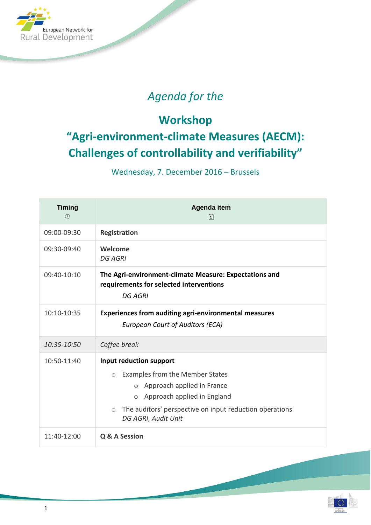

## *Agenda for the*

## **Workshop "Agri-environment-climate Measures (AECM): Challenges of controllability and verifiability"**

Wednesday, 7. December 2016 – Brussels

| <b>Timing</b><br>$\circled{c}$ | Agenda item<br>$\begin{bmatrix} 1 \end{bmatrix}$                                                                                                                                                                                                      |
|--------------------------------|-------------------------------------------------------------------------------------------------------------------------------------------------------------------------------------------------------------------------------------------------------|
| 09:00-09:30                    | <b>Registration</b>                                                                                                                                                                                                                                   |
| 09:30-09:40                    | Welcome<br><b>DG AGRI</b>                                                                                                                                                                                                                             |
| 09:40-10:10                    | The Agri-environment-climate Measure: Expectations and<br>requirements for selected interventions<br><b>DG AGRI</b>                                                                                                                                   |
| 10:10-10:35                    | <b>Experiences from auditing agri-environmental measures</b><br><b>European Court of Auditors (ECA)</b>                                                                                                                                               |
| 10:35-10:50                    | Coffee break                                                                                                                                                                                                                                          |
| 10:50-11:40                    | Input reduction support<br>Examples from the Member States<br>$\bigcirc$<br>Approach applied in France<br>$\circ$<br>$\circ$ Approach applied in England<br>The auditors' perspective on input reduction operations<br>$\circ$<br>DG AGRI, Audit Unit |
| 11:40-12:00                    | Q & A Session                                                                                                                                                                                                                                         |